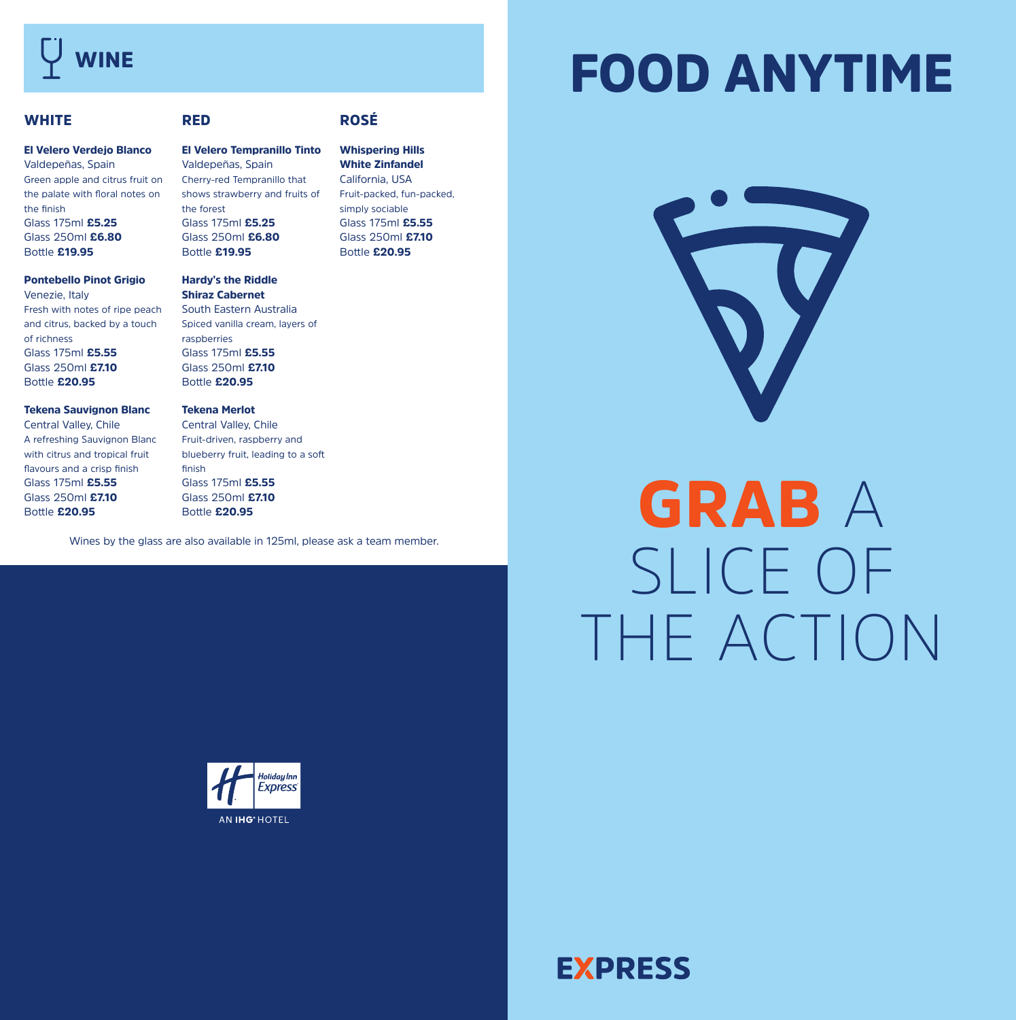## **WINE**

Bottle £20.95

## FOOD ANYTIME

#### **WHITE** El Velero Verdejo Blanco Valdepeñas, Spain Green apple and citrus fruit on the palate with floral notes on the finish Glass 175ml £5.25 Glass 250ml £6.80 Bottle £19.95 Pontebello Pinot Grigio Venezie, Italy Fresh with notes of ripe peach and citrus, backed by a touch of richness Glass 175ml £5.55 Glass 250ml £7.10 Bottle £20.95 Tekena Sauvignon Blanc Central Valley, Chile A refreshing Sauvignon Blanc with citrus and tropical fruit flavours and a crisp finish Glass 175ml £5.55 Glass 250ml £7.10 RED El Velero Tempranillo Tinto Valdepeñas, Spain Cherry-red Tempranillo that shows strawberry and fruits of the forest Glass 175ml £5.25 Glass 250ml £6.80 Bottle £19.95 Hardy's the Riddle Shiraz Cabernet South Eastern Australia Spiced vanilla cream, layers of raspberries Glass 175ml £5.55 Glass 250ml £7.10 Bottle £20.95 Tekena Merlot Central Valley, Chile Fruit-driven, raspberry and blueberry fruit, leading to a soft finish Glass 175ml £5.55 Glass 250ml £7.10 ROSÉ Whispering Hills White Zinfandel California, USA simply sociable Glass 175ml £5.55 Glass 250ml £7.10 Bottle £20.95

Wines by the glass are also available in 125ml, please ask a team member.

Bottle £20.95

Fruit-packed, fun-packed,



# GRAB A SLICE OF THE ACTION



**EXPRESS**